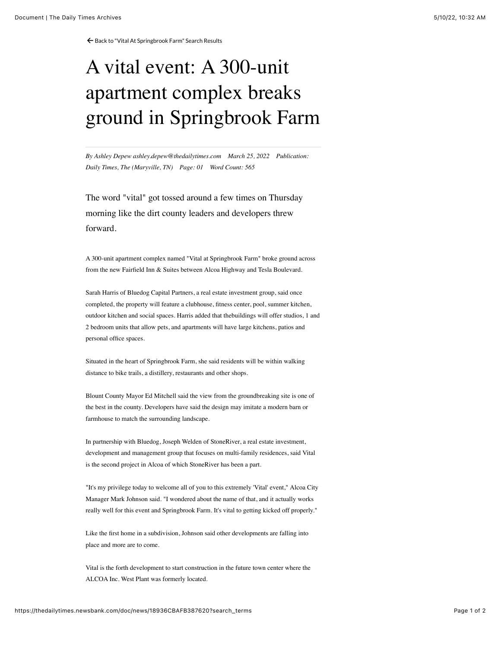← [Back to "Vital At Springbrook Farm" Search Results](https://thedailytimes.newsbank.com/search?text=vital%20at%20Springbrook%20farm&pub%5B0%5D=MDTB)

## A vital event: A 300-unit apartment complex breaks ground in Springbrook Farm

*By Ashley Depew ashley.depew@thedailytimes.com March 25, 2022 Publication: Daily Times, The (Maryville, TN) Page: 01 Word Count: 565*

The word "vital" got tossed around a few times on Thursday morning like the dirt county leaders and developers threw forward.

A 300-unit apartment complex named "Vital at Springbrook Farm" broke ground across from the new Fairfield Inn & Suites between Alcoa Highway and Tesla Boulevard.

Sarah Harris of Bluedog Capital Partners, a real estate investment group, said once completed, the property will feature a clubhouse, fitness center, pool, summer kitchen, outdoor kitchen and social spaces. Harris added that thebuildings will offer studios, 1 and 2 bedroom units that allow pets, and apartments will have large kitchens, patios and personal office spaces.

Situated in the heart of Springbrook Farm, she said residents will be within walking distance to bike trails, a distillery, restaurants and other shops.

Blount County Mayor Ed Mitchell said the view from the groundbreaking site is one of the best in the county. Developers have said the design may imitate a modern barn or farmhouse to match the surrounding landscape.

In partnership with Bluedog, Joseph Welden of StoneRiver, a real estate investment, development and management group that focuses on multi-family residences, said Vital is the second project in Alcoa of which StoneRiver has been a part.

"It's my privilege today to welcome all of you to this extremely 'Vital' event," Alcoa City Manager Mark Johnson said. "I wondered about the name of that, and it actually works really well for this event and Springbrook Farm. It's vital to getting kicked off properly."

Like the first home in a subdivision, Johnson said other developments are falling into place and more are to come.

Vital is the forth development to start construction in the future town center where the ALCOA Inc. West Plant was formerly located.